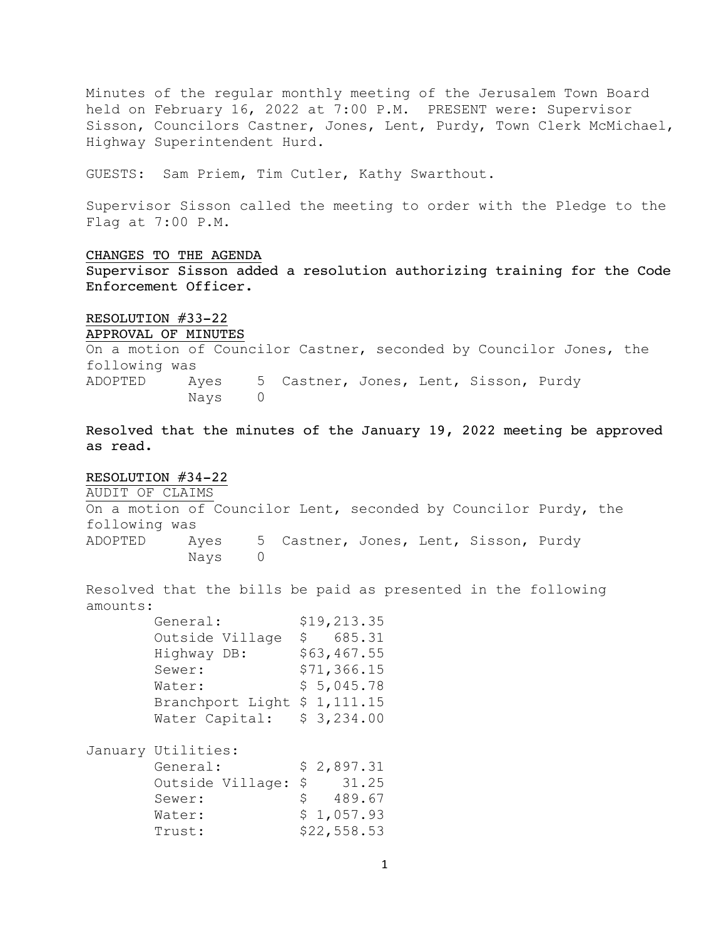Minutes of the regular monthly meeting of the Jerusalem Town Board held on February 16, 2022 at 7:00 P.M. PRESENT were: Supervisor Sisson, Councilors Castner, Jones, Lent, Purdy, Town Clerk McMichael, Highway Superintendent Hurd.

GUESTS: Sam Priem, Tim Cutler, Kathy Swarthout.

Supervisor Sisson called the meeting to order with the Pledge to the Flag at 7:00 P.M.

#### CHANGES TO THE AGENDA

Supervisor Sisson added a resolution authorizing training for the Code Enforcement Officer.

### RESOLUTION #33-22

APPROVAL OF MINUTES

On a motion of Councilor Castner, seconded by Councilor Jones, the following was ADOPTED Ayes 5 Castner, Jones, Lent, Sisson, Purdy Nays 0

Resolved that the minutes of the January 19, 2022 meeting be approved as read.

### RESOLUTION #34-22

AUDIT OF CLAIMS

On a motion of Councilor Lent, seconded by Councilor Purdy, the following was ADOPTED Ayes 5 Castner, Jones, Lent, Sisson, Purdy Nays 0

Resolved that the bills be paid as presented in the following amounts:

| General:                     | \$19,213.35 |
|------------------------------|-------------|
| Outside Village              | 685.31<br>S |
| Highway DB:                  | \$63,467.55 |
| Sewer:                       | \$71,366.15 |
| Water:                       | \$5,045.78  |
| Branchport Light \$ 1,111.15 |             |
| Water Capital:               | \$3,234.00  |
|                              |             |

January Utilities:

| General:            | \$2,897.31   |
|---------------------|--------------|
| Outside Village: \$ | 31.25        |
| Sewer:              | 489.67<br>S. |
| Water:              | \$1,057.93   |
| Trust:              | \$22,558.53  |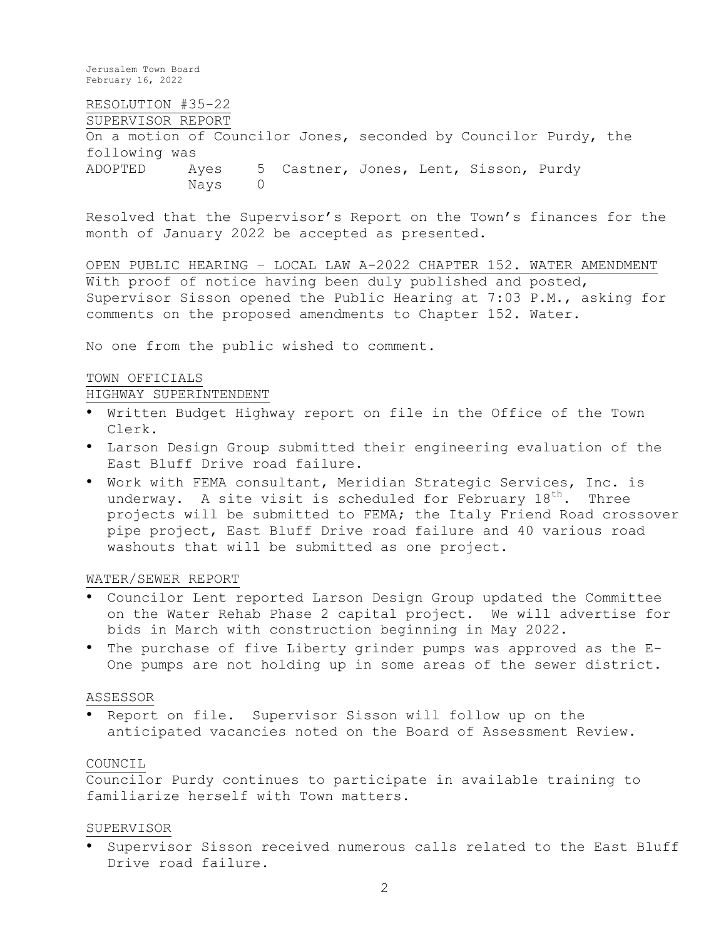RESOLUTION #35-22 SUPERVISOR REPORT On a motion of Councilor Jones, seconded by Councilor Purdy, the following was ADOPTED Ayes 5 Castner, Jones, Lent, Sisson, Purdy Nays 0

Resolved that the Supervisor's Report on the Town's finances for the month of January 2022 be accepted as presented.

OPEN PUBLIC HEARING – LOCAL LAW A-2022 CHAPTER 152. WATER AMENDMENT With proof of notice having been duly published and posted, Supervisor Sisson opened the Public Hearing at 7:03 P.M., asking for comments on the proposed amendments to Chapter 152. Water.

No one from the public wished to comment.

### TOWN OFFICIALS

### HIGHWAY SUPERINTENDENT

- Written Budget Highway report on file in the Office of the Town Clerk.
- Larson Design Group submitted their engineering evaluation of the East Bluff Drive road failure.
- Work with FEMA consultant, Meridian Strategic Services, Inc. is underway. A site visit is scheduled for February  $18^{th}$ . Three projects will be submitted to FEMA; the Italy Friend Road crossover pipe project, East Bluff Drive road failure and 40 various road washouts that will be submitted as one project.

#### WATER/SEWER REPORT

- Councilor Lent reported Larson Design Group updated the Committee on the Water Rehab Phase 2 capital project. We will advertise for bids in March with construction beginning in May 2022.
- The purchase of five Liberty grinder pumps was approved as the E-One pumps are not holding up in some areas of the sewer district.

#### ASSESSOR

• Report on file. Supervisor Sisson will follow up on the anticipated vacancies noted on the Board of Assessment Review.

### COUNCIL

Councilor Purdy continues to participate in available training to familiarize herself with Town matters.

### SUPERVISOR

• Supervisor Sisson received numerous calls related to the East Bluff Drive road failure.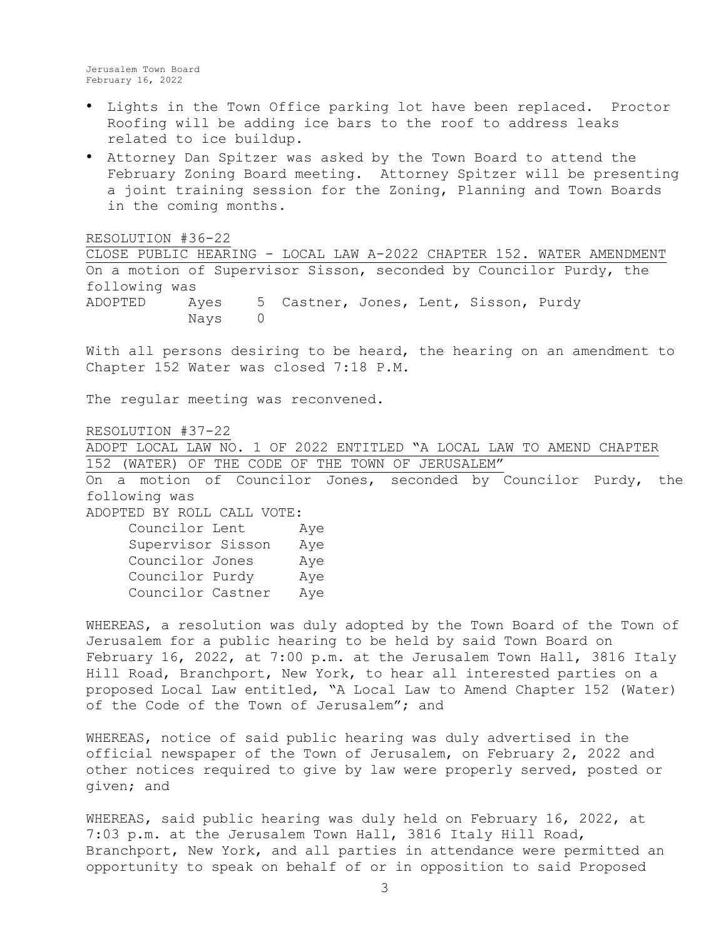- Lights in the Town Office parking lot have been replaced. Proctor Roofing will be adding ice bars to the roof to address leaks related to ice buildup.
- Attorney Dan Spitzer was asked by the Town Board to attend the February Zoning Board meeting. Attorney Spitzer will be presenting a joint training session for the Zoning, Planning and Town Boards in the coming months.

RESOLUTION #36-22

CLOSE PUBLIC HEARING - LOCAL LAW A-2022 CHAPTER 152. WATER AMENDMENT On a motion of Supervisor Sisson, seconded by Councilor Purdy, the following was ADOPTED Ayes 5 Castner, Jones, Lent, Sisson, Purdy Nays 0

With all persons desiring to be heard, the hearing on an amendment to Chapter 152 Water was closed 7:18 P.M.

The regular meeting was reconvened.

RESOLUTION #37-22

ADOPT LOCAL LAW NO. 1 OF 2022 ENTITLED "A LOCAL LAW TO AMEND CHAPTER 152 (WATER) OF THE CODE OF THE TOWN OF JERUSALEM" On a motion of Councilor Jones, seconded by Councilor Purdy, the following was

ADOPTED BY ROLL CALL VOTE:

| Councilor Lent    | Aye |
|-------------------|-----|
| Supervisor Sisson | Aye |
| Councilor Jones   | Aye |
| Councilor Purdy   | Aye |
| Councilor Castner | Aye |

WHEREAS, a resolution was duly adopted by the Town Board of the Town of Jerusalem for a public hearing to be held by said Town Board on February 16, 2022, at 7:00 p.m. at the Jerusalem Town Hall, 3816 Italy Hill Road, Branchport, New York, to hear all interested parties on a proposed Local Law entitled, "A Local Law to Amend Chapter 152 (Water) of the Code of the Town of Jerusalem"; and

WHEREAS, notice of said public hearing was duly advertised in the official newspaper of the Town of Jerusalem, on February 2, 2022 and other notices required to give by law were properly served, posted or given; and

WHEREAS, said public hearing was duly held on February 16, 2022, at 7:03 p.m. at the Jerusalem Town Hall, 3816 Italy Hill Road, Branchport, New York, and all parties in attendance were permitted an opportunity to speak on behalf of or in opposition to said Proposed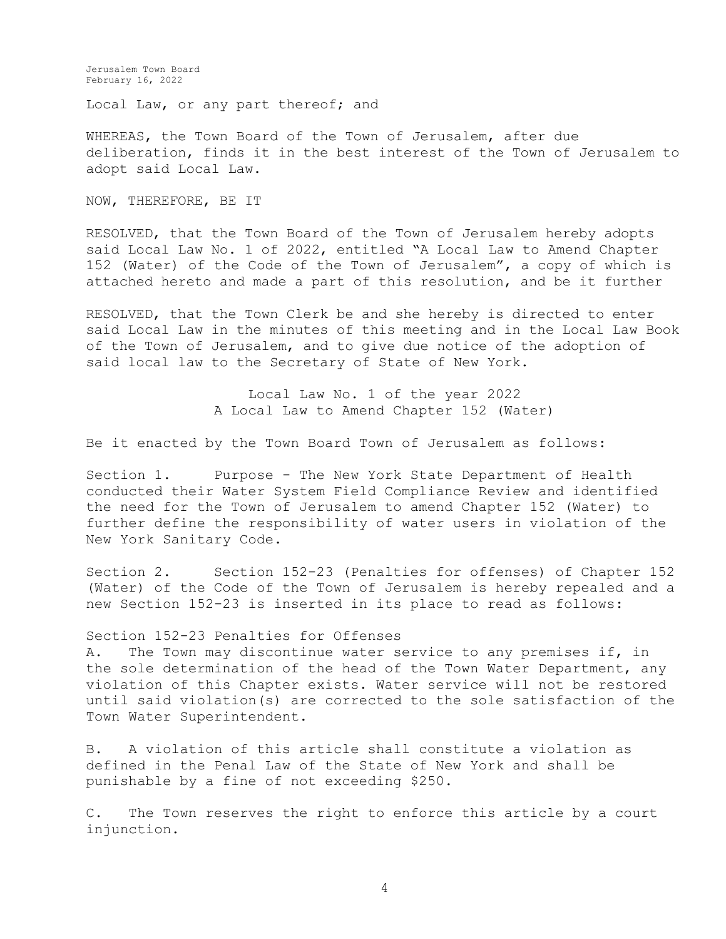Local Law, or any part thereof; and

WHEREAS, the Town Board of the Town of Jerusalem, after due deliberation, finds it in the best interest of the Town of Jerusalem to adopt said Local Law.

NOW, THEREFORE, BE IT

RESOLVED, that the Town Board of the Town of Jerusalem hereby adopts said Local Law No. 1 of 2022, entitled "A Local Law to Amend Chapter 152 (Water) of the Code of the Town of Jerusalem", a copy of which is attached hereto and made a part of this resolution, and be it further

RESOLVED, that the Town Clerk be and she hereby is directed to enter said Local Law in the minutes of this meeting and in the Local Law Book of the Town of Jerusalem, and to give due notice of the adoption of said local law to the Secretary of State of New York.

> Local Law No. 1 of the year 2022 A Local Law to Amend Chapter 152 (Water)

Be it enacted by the Town Board Town of Jerusalem as follows:

Section 1. Purpose - The New York State Department of Health conducted their Water System Field Compliance Review and identified the need for the Town of Jerusalem to amend Chapter 152 (Water) to further define the responsibility of water users in violation of the New York Sanitary Code.

Section 2. Section 152-23 (Penalties for offenses) of Chapter 152 (Water) of the Code of the Town of Jerusalem is hereby repealed and a new Section 152-23 is inserted in its place to read as follows:

### Section 152-23 Penalties for Offenses

A. The Town may discontinue water service to any premises if, in the sole determination of the head of the Town Water Department, any violation of this Chapter exists. Water service will not be restored until said violation(s) are corrected to the sole satisfaction of the Town Water Superintendent.

B. A violation of this article shall constitute a violation as defined in the Penal Law of the State of New York and shall be punishable by a fine of not exceeding \$250.

C. The Town reserves the right to enforce this article by a court injunction.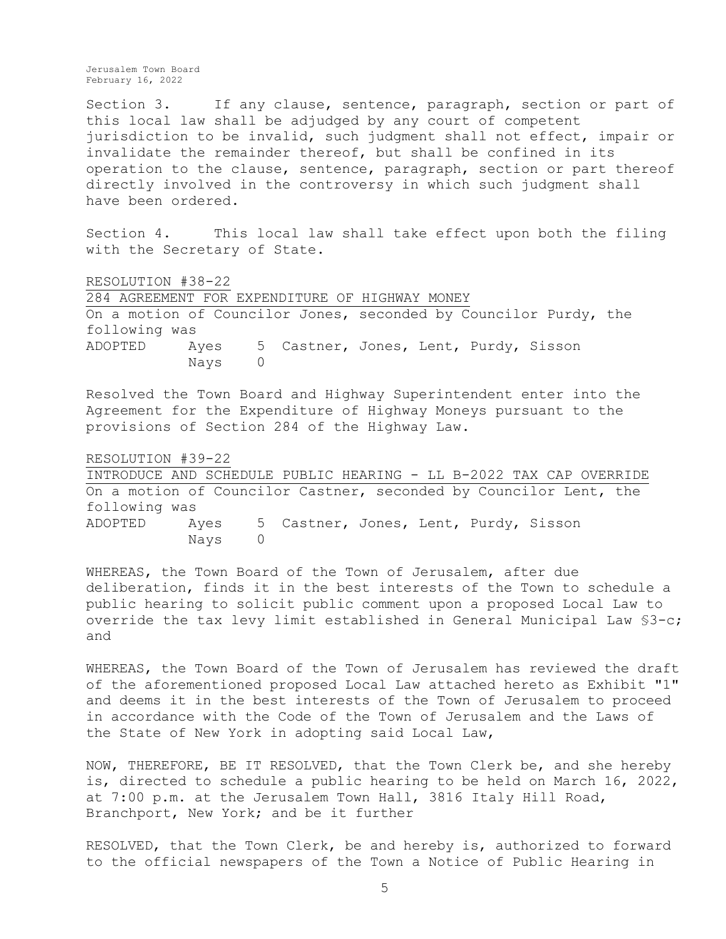Section 3. If any clause, sentence, paragraph, section or part of this local law shall be adjudged by any court of competent jurisdiction to be invalid, such judgment shall not effect, impair or invalidate the remainder thereof, but shall be confined in its operation to the clause, sentence, paragraph, section or part thereof directly involved in the controversy in which such judgment shall have been ordered.

Section 4. This local law shall take effect upon both the filing with the Secretary of State.

RESOLUTION #38-22 284 AGREEMENT FOR EXPENDITURE OF HIGHWAY MONEY On a motion of Councilor Jones, seconded by Councilor Purdy, the following was ADOPTED Ayes 5 Castner, Jones, Lent, Purdy, Sisson Nays 0

Resolved the Town Board and Highway Superintendent enter into the Agreement for the Expenditure of Highway Moneys pursuant to the provisions of Section 284 of the Highway Law.

#### RESOLUTION #39-22

INTRODUCE AND SCHEDULE PUBLIC HEARING - LL B-2022 TAX CAP OVERRIDE On a motion of Councilor Castner, seconded by Councilor Lent, the following was ADOPTED Ayes 5 Castner, Jones, Lent, Purdy, Sisson Nays 0

WHEREAS, the Town Board of the Town of Jerusalem, after due deliberation, finds it in the best interests of the Town to schedule a public hearing to solicit public comment upon a proposed Local Law to override the tax levy limit established in General Municipal Law §3-c; and

WHEREAS, the Town Board of the Town of Jerusalem has reviewed the draft of the aforementioned proposed Local Law attached hereto as Exhibit "1" and deems it in the best interests of the Town of Jerusalem to proceed in accordance with the Code of the Town of Jerusalem and the Laws of the State of New York in adopting said Local Law,

NOW, THEREFORE, BE IT RESOLVED, that the Town Clerk be, and she hereby is, directed to schedule a public hearing to be held on March 16, 2022, at 7:00 p.m. at the Jerusalem Town Hall, 3816 Italy Hill Road, Branchport, New York; and be it further

RESOLVED, that the Town Clerk, be and hereby is, authorized to forward to the official newspapers of the Town a Notice of Public Hearing in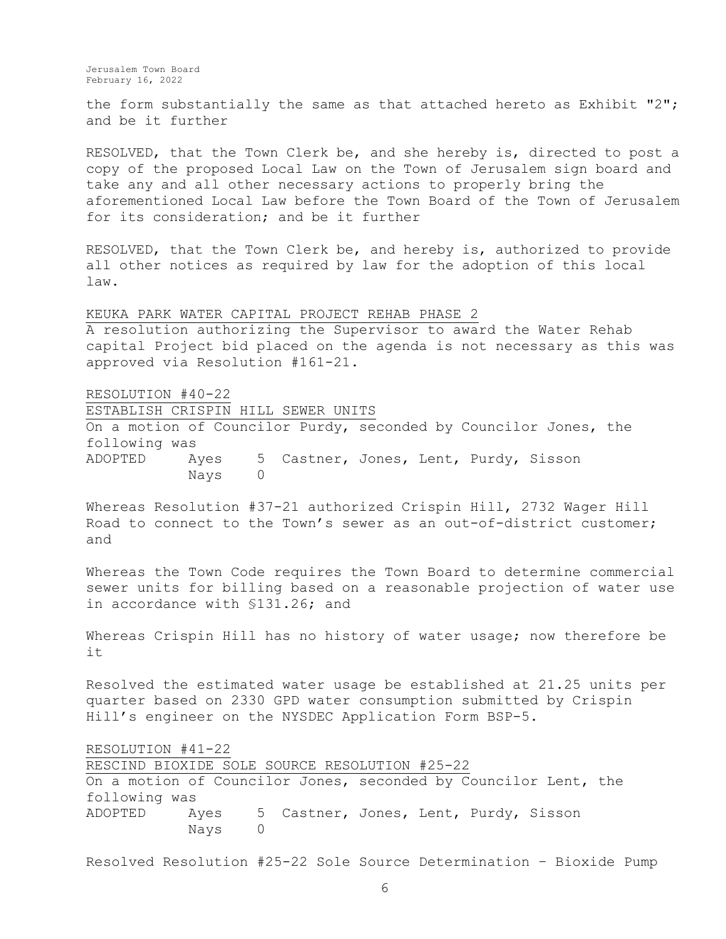the form substantially the same as that attached hereto as Exhibit "2"; and be it further

RESOLVED, that the Town Clerk be, and she hereby is, directed to post a copy of the proposed Local Law on the Town of Jerusalem sign board and take any and all other necessary actions to properly bring the aforementioned Local Law before the Town Board of the Town of Jerusalem for its consideration; and be it further

RESOLVED, that the Town Clerk be, and hereby is, authorized to provide all other notices as required by law for the adoption of this local law.

KEUKA PARK WATER CAPITAL PROJECT REHAB PHASE 2 A resolution authorizing the Supervisor to award the Water Rehab capital Project bid placed on the agenda is not necessary as this was approved via Resolution #161-21.

RESOLUTION #40-22 ESTABLISH CRISPIN HILL SEWER UNITS On a motion of Councilor Purdy, seconded by Councilor Jones, the following was ADOPTED Ayes 5 Castner, Jones, Lent, Purdy, Sisson Nays 0

Whereas Resolution #37-21 authorized Crispin Hill, 2732 Wager Hill Road to connect to the Town's sewer as an out-of-district customer; and

Whereas the Town Code requires the Town Board to determine commercial sewer units for billing based on a reasonable projection of water use in accordance with §131.26; and

Whereas Crispin Hill has no history of water usage; now therefore be it

Resolved the estimated water usage be established at 21.25 units per quarter based on 2330 GPD water consumption submitted by Crispin Hill's engineer on the NYSDEC Application Form BSP-5.

RESOLUTION #41-22

RESCIND BIOXIDE SOLE SOURCE RESOLUTION #25-22 On a motion of Councilor Jones, seconded by Councilor Lent, the following was ADOPTED Ayes 5 Castner, Jones, Lent, Purdy, Sisson Nays 0

Resolved Resolution #25-22 Sole Source Determination – Bioxide Pump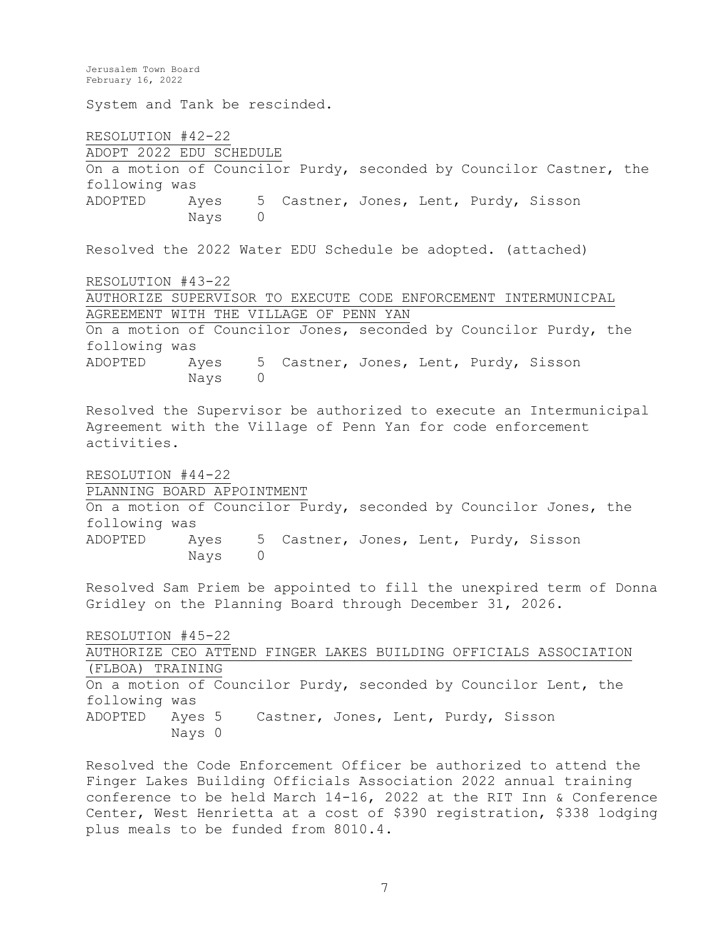Jerusalem Town Board February 16, 2022 System and Tank be rescinded. RESOLUTION #42-22 ADOPT 2022 EDU SCHEDULE On a motion of Councilor Purdy, seconded by Councilor Castner, the following was ADOPTED Ayes 5 Castner, Jones, Lent, Purdy, Sisson Nays 0 Resolved the 2022 Water EDU Schedule be adopted. (attached) RESOLUTION #43-22 AUTHORIZE SUPERVISOR TO EXECUTE CODE ENFORCEMENT INTERMUNICPAL AGREEMENT WITH THE VILLAGE OF PENN YAN On a motion of Councilor Jones, seconded by Councilor Purdy, the following was ADOPTED Ayes 5 Castner, Jones, Lent, Purdy, Sisson Nays 0 Resolved the Supervisor be authorized to execute an Intermunicipal Agreement with the Village of Penn Yan for code enforcement activities. RESOLUTION #44-22 PLANNING BOARD APPOINTMENT On a motion of Councilor Purdy, seconded by Councilor Jones, the following was ADOPTED Ayes 5 Castner, Jones, Lent, Purdy, Sisson Nays 0 Resolved Sam Priem be appointed to fill the unexpired term of Donna Gridley on the Planning Board through December 31, 2026. RESOLUTION #45-22 AUTHORIZE CEO ATTEND FINGER LAKES BUILDING OFFICIALS ASSOCIATION (FLBOA) TRAINING On a motion of Councilor Purdy, seconded by Councilor Lent, the following was ADOPTED Ayes 5 Castner, Jones, Lent, Purdy, Sisson Nays 0 Resolved the Code Enforcement Officer be authorized to attend the

Finger Lakes Building Officials Association 2022 annual training conference to be held March 14-16, 2022 at the RIT Inn & Conference Center, West Henrietta at a cost of \$390 registration, \$338 lodging plus meals to be funded from 8010.4.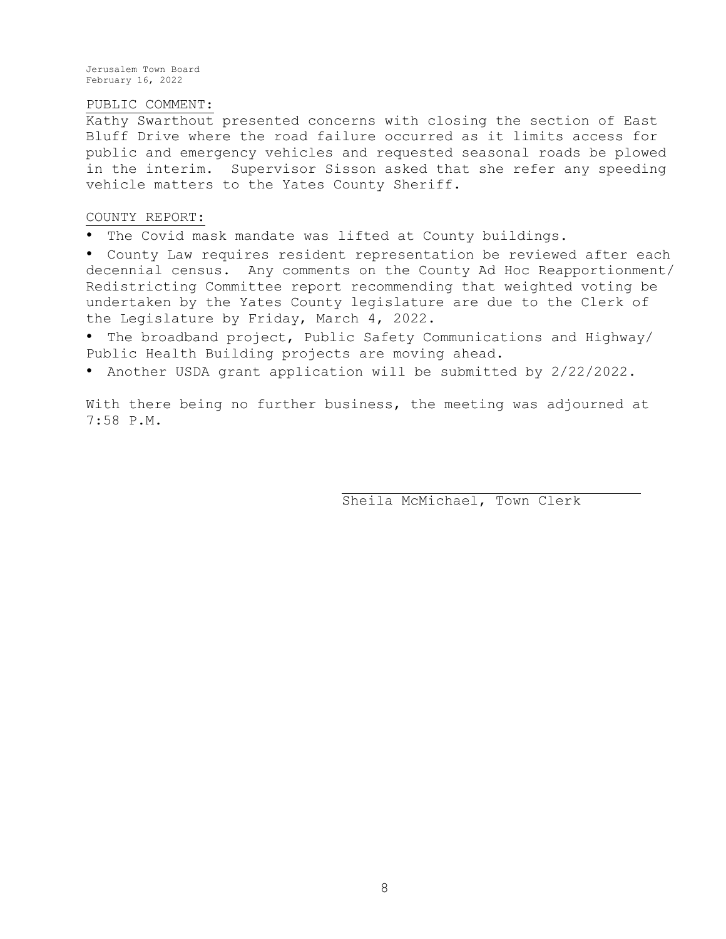### PUBLIC COMMENT:

Kathy Swarthout presented concerns with closing the section of East Bluff Drive where the road failure occurred as it limits access for public and emergency vehicles and requested seasonal roads be plowed in the interim. Supervisor Sisson asked that she refer any speeding vehicle matters to the Yates County Sheriff.

#### COUNTY REPORT:

• The Covid mask mandate was lifted at County buildings.

• County Law requires resident representation be reviewed after each decennial census. Any comments on the County Ad Hoc Reapportionment/ Redistricting Committee report recommending that weighted voting be undertaken by the Yates County legislature are due to the Clerk of the Legislature by Friday, March 4, 2022.

• The broadband project, Public Safety Communications and Highway/ Public Health Building projects are moving ahead.

• Another USDA grant application will be submitted by 2/22/2022.

With there being no further business, the meeting was adjourned at 7:58 P.M.

Sheila McMichael, Town Clerk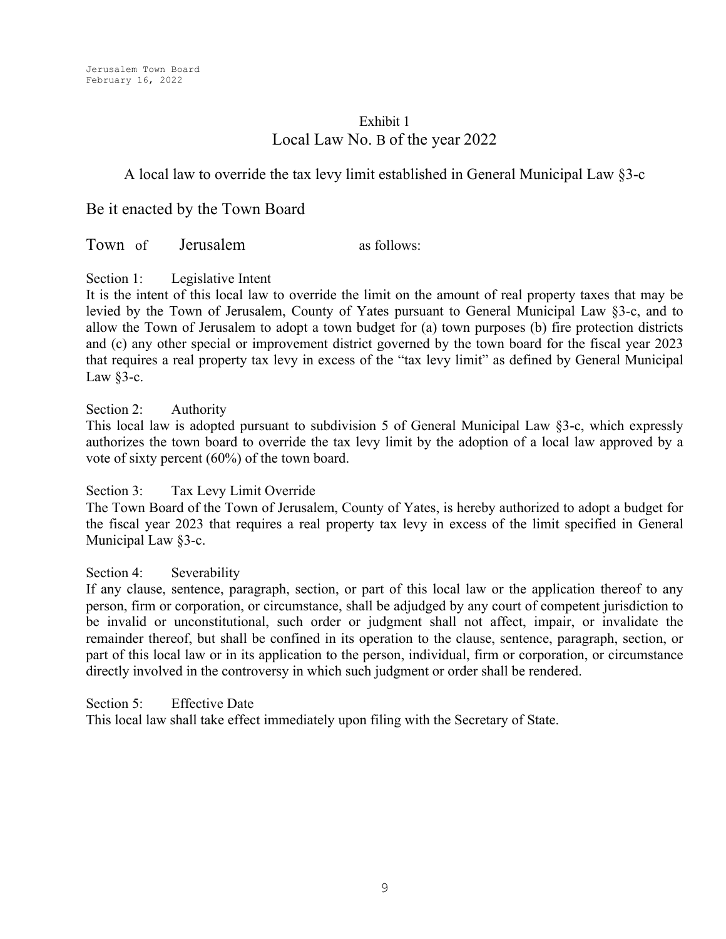# Exhibit 1 Local Law No. B of the year 2022

# A local law to override the tax levy limit established in General Municipal Law §3-c

Be it enacted by the Town Board

Town of Jerusalem as follows:

Section 1: Legislative Intent

It is the intent of this local law to override the limit on the amount of real property taxes that may be levied by the Town of Jerusalem, County of Yates pursuant to General Municipal Law §3-c, and to allow the Town of Jerusalem to adopt a town budget for (a) town purposes (b) fire protection districts and (c) any other special or improvement district governed by the town board for the fiscal year 2023 that requires a real property tax levy in excess of the "tax levy limit" as defined by General Municipal Law  $§$ 3-c.

## Section 2: Authority

This local law is adopted pursuant to subdivision 5 of General Municipal Law §3-c, which expressly authorizes the town board to override the tax levy limit by the adoption of a local law approved by a vote of sixty percent (60%) of the town board.

## Section 3: Tax Levy Limit Override

The Town Board of the Town of Jerusalem, County of Yates, is hereby authorized to adopt a budget for the fiscal year 2023 that requires a real property tax levy in excess of the limit specified in General Municipal Law §3-c.

## Section 4: Severability

If any clause, sentence, paragraph, section, or part of this local law or the application thereof to any person, firm or corporation, or circumstance, shall be adjudged by any court of competent jurisdiction to be invalid or unconstitutional, such order or judgment shall not affect, impair, or invalidate the remainder thereof, but shall be confined in its operation to the clause, sentence, paragraph, section, or part of this local law or in its application to the person, individual, firm or corporation, or circumstance directly involved in the controversy in which such judgment or order shall be rendered.

Section 5<sup>:</sup> Effective Date

This local law shall take effect immediately upon filing with the Secretary of State.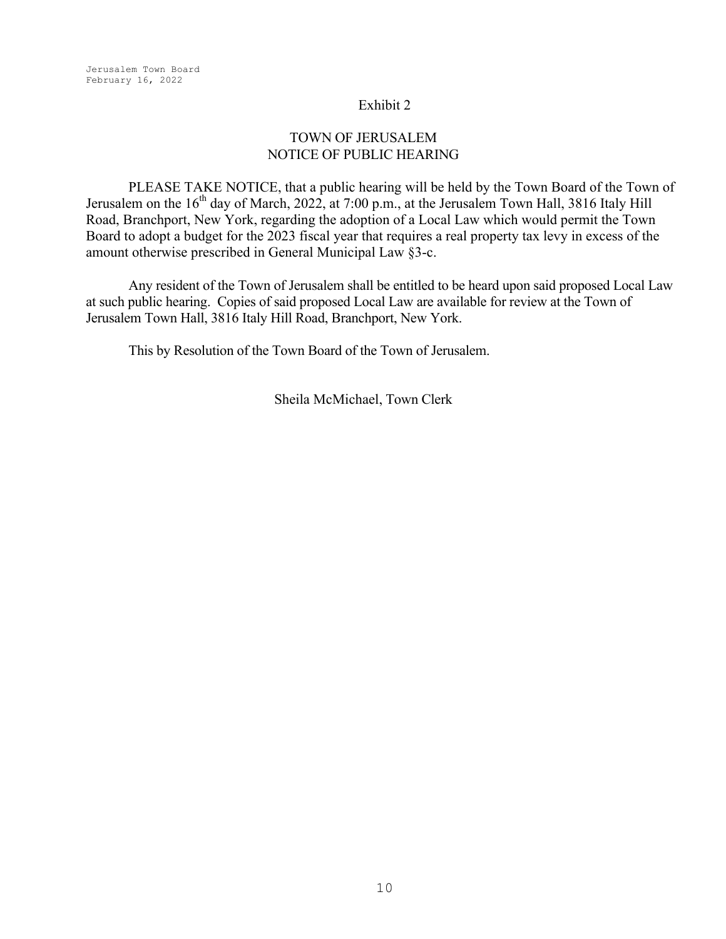## Exhibit 2

# TOWN OF JERUSALEM NOTICE OF PUBLIC HEARING

PLEASE TAKE NOTICE, that a public hearing will be held by the Town Board of the Town of Jerusalem on the 16<sup>th</sup> day of March, 2022, at 7:00 p.m., at the Jerusalem Town Hall, 3816 Italy Hill Road, Branchport, New York, regarding the adoption of a Local Law which would permit the Town Board to adopt a budget for the 2023 fiscal year that requires a real property tax levy in excess of the amount otherwise prescribed in General Municipal Law §3-c.

Any resident of the Town of Jerusalem shall be entitled to be heard upon said proposed Local Law at such public hearing. Copies of said proposed Local Law are available for review at the Town of Jerusalem Town Hall, 3816 Italy Hill Road, Branchport, New York.

This by Resolution of the Town Board of the Town of Jerusalem.

Sheila McMichael, Town Clerk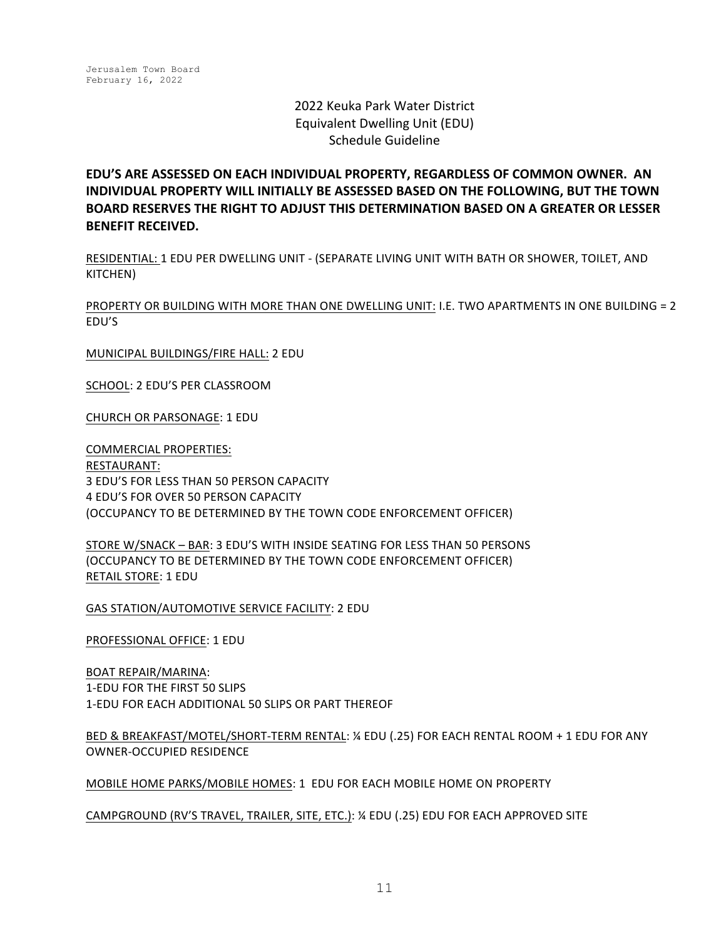# 2022 Keuka Park Water District Equivalent Dwelling Unit (EDU) Schedule Guideline

**EDU'S ARE ASSESSED ON EACH INDIVIDUAL PROPERTY, REGARDLESS OF COMMON OWNER. AN INDIVIDUAL PROPERTY WILL INITIALLY BE ASSESSED BASED ON THE FOLLOWING. BUT THE TOWN BOARD RESERVES THE RIGHT TO ADJUST THIS DETERMINATION BASED ON A GREATER OR LESSER BENEFIT RECEIVED.** 

RESIDENTIAL: 1 EDU PER DWELLING UNIT - (SEPARATE LIVING UNIT WITH BATH OR SHOWER, TOILET, AND KITCHEN)

PROPERTY OR BUILDING WITH MORE THAN ONE DWELLING UNIT: I.E. TWO APARTMENTS IN ONE BUILDING = 2 EDU'S

MUNICIPAL BUILDINGS/FIRE HALL: 2 EDU

SCHOOL: 2 EDU'S PER CLASSROOM

CHURCH OR PARSONAGE: 1 EDU

COMMERCIAL PROPERTIES: RESTAURANT: **3 EDU'S FOR LESS THAN 50 PERSON CAPACITY** 4 EDU'S FOR OVER 50 PERSON CAPACITY (OCCUPANCY TO BE DETERMINED BY THE TOWN CODE ENFORCEMENT OFFICER)

STORE W/SNACK - BAR: 3 EDU'S WITH INSIDE SEATING FOR LESS THAN 50 PERSONS (OCCUPANCY TO BE DETERMINED BY THE TOWN CODE ENFORCEMENT OFFICER) **RETAIL STORE: 1 EDU** 

GAS STATION/AUTOMOTIVE SERVICE FACILITY: 2 EDU

PROFESSIONAL OFFICE: 1 EDU

BOAT REPAIR/MARINA: 1-EDU FOR THE FIRST 50 SLIPS 1-EDU FOR EACH ADDITIONAL 50 SLIPS OR PART THEREOF

BED & BREAKFAST/MOTEL/SHORT-TERM RENTAL: ¼ EDU (.25) FOR EACH RENTAL ROOM + 1 EDU FOR ANY OWNER-OCCUPIED RESIDENCE

MOBILE HOME PARKS/MOBILE HOMES: 1 EDU FOR EACH MOBILE HOME ON PROPERTY

CAMPGROUND (RV'S TRAVEL, TRAILER, SITE, ETC.): ¼ EDU (.25) EDU FOR EACH APPROVED SITE